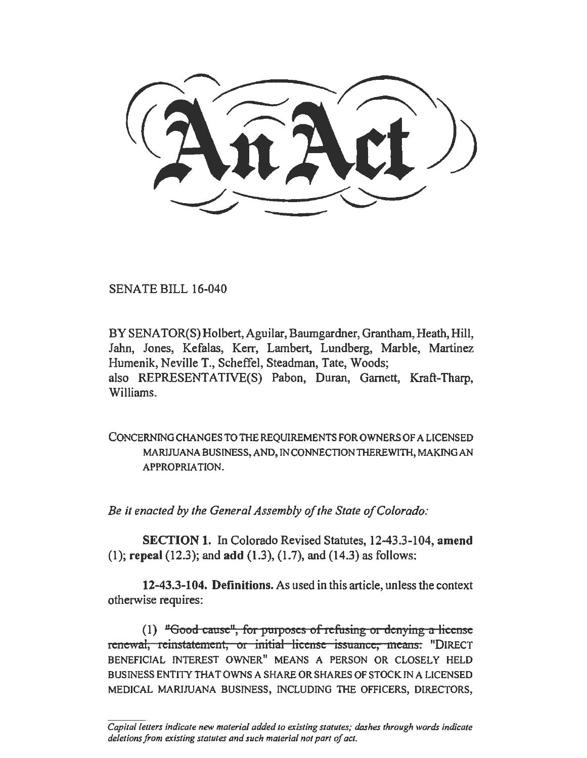$\overline{\phantom{a}}$ 

SENATE BILL 16-040

BY SENATOR(S) Holbert, Aguilar, Baumgardner, Grantham, Heath, Hill, Jahn, Jones, Kefalas, Kerr, Lambert, Lundberg, Marble, Martinez Humenik, Neville T., Scheffel, Steadman, Tate, Woods; also REPRESENTATIVE(S) Pabon, Duran, Garnett, Kraft-Tharp, Williams.

CONCERNING CHANGES TO THE REQUIREMENTS FOR OWNERS OF A LICENSED MARIJUANA BUSINESS, AND, IN CONNECTION THEREWITH, MAKING AN APPROPRIATION.

*Be it enacted by the General Assembly of the State of Colorado:* 

SECTION 1. In Colorado Revised Statutes, 12-43.3-104, amend  $(1)$ ; repeal  $(12.3)$ ; and add  $(1.3)$ ,  $(1.7)$ , and  $(14.3)$  as follows:

12-43.3-104. Definitions. As used in this article, unless the context otherwise requires:

(1) "Good cause", for purposes of refusing or denying a license renewal, reinstatement, or initial license issuance, means: "DIRECT BENEFICIAL INTEREST OWNER" MEANS A PERSON OR CLOSELY HELD BUSINESS ENTITY THAT OWNS A SHARE OR SHARES OF STOCK IN A LICENSED MEDICAL MARIJUANA BUSINESS, INCLUDING THE OFFICERS, DIRECTORS,

*Capital letters indicate new material added to existing statutes; dashes through words indicate deletions from existing statutes and such material not part of act.*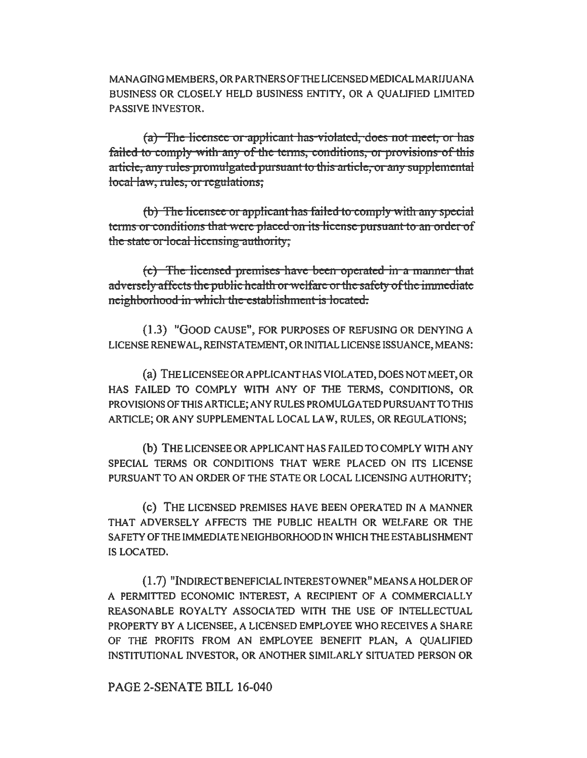MANAGING MEMBERS, OR PARTNERS OF THE LICENSED MEDICAL MARIJUANA BUSINESS OR CLOSELY HELD BUSINESS ENTITY, OR A QUALIFIED LIMITED PASSIVE INVESTOR.

(a) The licensee or applicant has violated, does not meet, or has failed to comply with any of the terms, conditions, or provisions of this article, any rules promulgated pursuant to this article, or any supplemental local law, rules, or regulations;

(b) The licensee or applicant has failed to comply with any special terms or conditions that were placed on its license pursuant to an order of the state or local licensing authority;

 $(c)$  The licensed premises have been operated in a manner that adversely affects the public health or welfare or the safety of the immediate neighborhood in which the establishment is located.

(1.3) "GOOD CAUSE", FOR PURPOSES OF REFUSING OR DENYING A LICENSE RENEW AL, REINSTATEMENT, OR INITIAL LICENSE ISSUANCE, MEANS:

(a) THELICENSEEORAPPLICANTHAS VIOLATED, DOES NOT MEET, OR HAS FAILED TO COMPLY WITH ANY OF THE TERMS, CONDITIONS, OR PROVISIONS OF THIS ARTICLE; ANY RULES PROMULGATED PURSUANT TO THIS ARTICLE; OR ANY SUPPLEMENTAL LOCAL LAW, RULES, OR REGULATIONS;

(b) THE LICENSEE OR APPLICANT HAS FAILED TO COMPLY WITH ANY SPECIAL TERMS OR CONDITIONS THAT WERE PLACED ON ITS LICENSE PURSUANT TO AN ORDER OF THE STATE OR LOCAL LICENSING AUTHORITY;

(c) THE LICENSED PREMISES HAVE BEEN OPERATED IN A MANNER THAT ADVERSELY AFFECTS THE PUBLIC HEALTH OR WELFARE OR THE SAFETY OF THE IMMEDIATE NEIGHBORHOOD JN WHICH THE ESTABLISHMENT IS LOCATED.

(1. 7) "INDIRECT BENEFICIAL INTEREST OWNER" MEANS A HOLDER OF A PERMITTED ECONOMIC INTEREST, A RECIPIENT OF A COMMERCIALLY REASONABLE ROYALTY ASSOCIATED WITH THE USE OF INTELLECTUAL PROPERTY BY A LICENSEE, A LICENSED EMPLOYEE WHO RECEIVES A SHARE OF THE PROFITS FROM AN EMPLOYEE BENEFIT PLAN, A QUALIFIED INSTITUTIONAL INVESTOR, OR ANOTHER SIMILARLY SITUATED PERSON OR

PAGE 2-SENATE BILL 16-040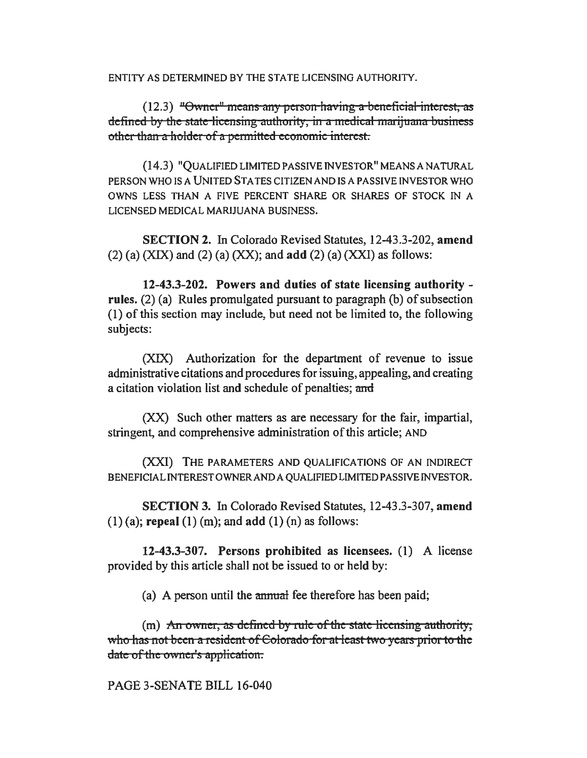ENTITY AS DETERMINED BY THE STATE LICENSING AUTHORITY.

 $(12.3)$  "Owner" means any person having a beneficial interest, as defined by the state-licensing-authority, in a medical marijuana business othet than a holder of a permitted economic interest.

{14.3) "QUALIFIED LIMITED PASSIVE INVESTOR" MEANS A NATURAL PERSON WHO IS A UNITED STA TES CITIZEN AND IS A PASSIVE INVESTOR WHO OWNS LESS THAN A FIVE PERCENT SHARE OR SHARES OF STOCK IN A LICENSED MEDICAL MARIJUANA BUSINESS.

SECTION 2. In Colorado Revised Statutes, 12-43.3-202, amend  $(2)$  (a) (XIX) and (2) (a) (XX); and add (2) (a) (XXI) as follows:

12-43.3-202. Powers and duties of state licensing authority rules. (2) (a) Rules promulgated pursuant to paragraph (b) of subsection (I) of this section may include, but need not be limited to, the following subjects:

(XIX) Authorization for the department of revenue to issue administrative citations and procedures for issuing, appealing, and creating a citation violation list and schedule of penalties; and

(XX) Such other matters as are necessary for the fair, impartial, stringent, and comprehensive administration of this article; AND

{XXI) THE PARAMETERS AND QUALIFICATIONS OF AN INDIRECT BENEFICIAL INTEREST OWNER AND A QUALIFIED LIMITED PASSIVE INVESTOR.

SECTION 3. In Colorado Revised Statutes, 12-43.3-307, amend  $(1)$  (a); repeal  $(1)$  (m); and add  $(1)$  (n) as follows:

12-43.3-307. Persons prohibited as licensees. (I) A license provided by this article shall not be issued to or held by:

(a) A person until the annual fee therefore has been paid;

 $(m)$  An owner, as defined by rule of the state licensing authority, who has not been a resident of Colorado for at least two years prior to the date of the owner's application.

PAGE 3-SENATE BILL 16-040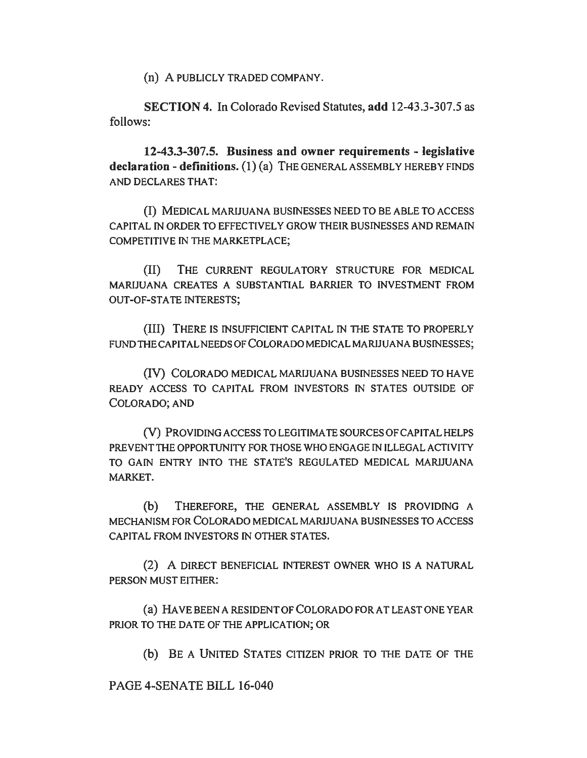(n) A PUBLICLY TRADED COMPANY.

SECTION 4. In Colorado Revised Statutes, add 12-43.3-307.5 as follows:

12-43.3-307.5. Business and owner requirements - legislative declaration - definitions. (1) (a) THE GENERAL ASSEMBLY HEREBY FINDS AND DECLARES THAT:

(I) MEDICAL MARIJUANA BUSINESSES NEED TO BE ABLE TO ACCESS CAPITAL IN ORDER TO EFFECTIVELY GROW THEIR BUSINESSES AND REMAIN COMPETITIVE IN THE MARKETPLACE;

{II) THE CURRENT REGULATORY STRUCTURE FOR MEDICAL MARIJUANA CREATES A SUBSTANTIAL BARRIER TO INVESTMENT FROM OUT-OF-STATE INTERESTS;

(III) THERE IS INSUFFICIENT CAPITAL IN THE STATE TO PROPERLY FUND THE CAPITAL NEEDS OF COLORADO MEDICAL MARIJUANA BUSINESSES;

{IV) COLORADO MEDICAL MARIJUANA BUSINESSES NEED TO HA VE READY ACCESS TO CAPITAL FROM INVESTORS IN STATES OUTSIDE OF COLORADO; AND

{V) PROVIDING ACCESS TO LEGITIMATE SOURCES OF CAPITAL HELPS PREVENT THE OPPORTUNITY FOR THOSE WHO ENGAGE IN ILLEGAL ACTIVITY TO GAIN ENTRY INTO THE STATE'S REGULATED MEDICAL MARIJUANA MARKET.

(b) THEREFORE, THE GENERAL ASSEMBLY IS PROVIDING A MECHANISM FOR COLORADO MEDICAL MARIJUANA BUSINESSES TO ACCESS CAPITAL FROM INVESTORS IN OTHER STATES.

(2) A DIRECT BENEFICIAL INTEREST OWNER WHO IS A NATURAL PERSON MUST EITHER:

(a) HA VE BEEN A RESIDENT OF COLORADO FOR AT LEAST ONE YEAR PRIOR TO THE DATE OF THE APPLICATION; OR

(b) BE A UNITED STATES CITIZEN PRIOR TO THE DATE OF THE

PAGE 4-SENATE BILL 16-040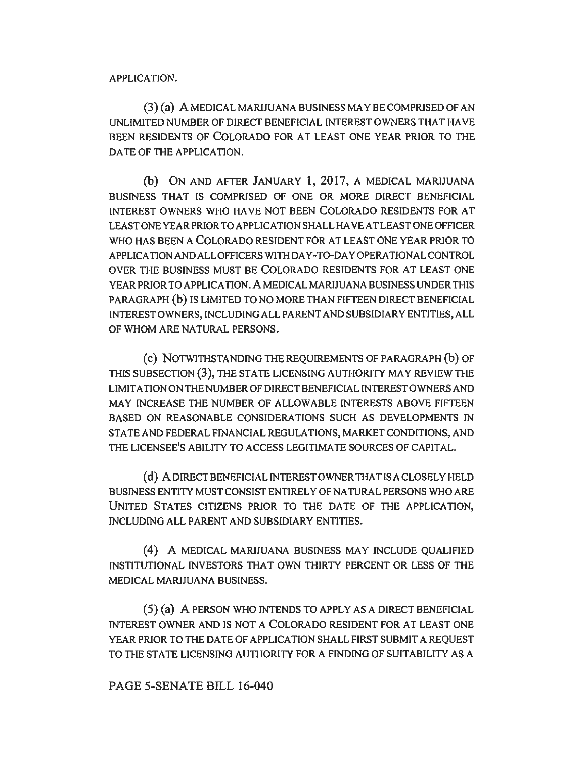APPLICATION.

(3) (a) A MEDICAL MARIJUANA BUSINESS MAY BE COMPRISED OF AN UNLIMITED NUMBER OF DIRECT BENEFICIAL INTEREST OWNERS THAT HA VE BEEN RESIDENTS OF COLORADO FOR AT LEAST ONE YEAR PRIOR TO THE DATE OF THE APPLICATION.

(b) ON AND AFTER JANUARY 1, 2017, A MEDICAL MARIJUANA BUSINESS THAT IS COMPRISED OF ONE OR MORE DIRECT BENEFICIAL INTEREST OWNERS WHO HA VE NOT BEEN COLORADO RESIDENTS FOR AT LEAST ONE YEAR PRIOR TO APPLICATION SHALL HA VE AT LEAST ONE OFFICER WHO HAS BEEN A COLORADO RESIDENT FOR AT LEAST ONE YEAR PRIOR TO APPLICATION AND ALL OFFICERS WITH DAY-TO-DAY OPERATIONAL CONTROL OVER THE BUSINESS MUST BE COLORADO RESIDENTS FOR AT LEAST ONE YEAR PRIOR TO APPLICATION. A MEDICAL MARIJUANA BUSINESS UNDER THIS PARAGRAPH (b) IS LIMITED TO NO MORE THAN FIFTEEN DIRECT BENEFICIAL INTEREST OWNERS, INCLUDING ALL PARENT AND SUBSIDIARY ENTITIES, ALL OF WHOM ARE NATURAL PERSONS.

( c) NOTWITHSTANDING THE REQUIREMENTS OF PARAGRAPH (b) OF THIS SUBSECTION (3), THE STATE LICENSING AUTHORITY MAY REVIEW THE LIMITATION ON THE NUMBER OF DIRECT BENEFICIAL INTEREST OWNERS AND MAY INCREASE THE NUMBER OF ALLOWABLE INTERESTS ABOVE FIFTEEN BASED ON REASONABLE CONSIDERATIONS SUCH AS DEVELOPMENTS IN STATE AND FEDERAL FINANCIAL REGULATIONS, MARKET CONDITIONS, AND THE LICENSEE'S ABILITY TO ACCESS LEGITIMATE SOURCES OF CAPITAL.

(d) A DIRECT BENEFICIAL INTEREST OWNER THAT IS A CLOSELY HELD BUSINESS ENTITY MUST CONSIST ENTIRELY OF NATURAL PERSONS WHO ARE UNITED STATES CITIZENS PRIOR TO THE DATE OF THE APPLICATION. INCLUDING ALL PARENT AND SUBSIDIARY ENTITIES.

(4) A MEDICAL MARIJUANA BUSINESS MAY INCLUDE QUALIFIED INSTITUTIONAL INVESTORS THAT OWN THIRTY PERCENT OR LESS OF THE MEDICAL MARIJUANA BUSINESS.

(5) (a) A PERSON WHO INTENDS TO APPLY AS A DIRECT BENEFICIAL INTEREST OWNER AND IS NOT A COLORADO RESIDENT FOR AT LEAST ONE YEAR PRIOR TO THE DATE OF APPLICATION SHALL FIRST SUBMIT A REQUEST TO THE STATE LICENSING AUTHORITY FOR A FINDING OF SUITABILITY AS A

## PAGE 5-SENATE BILL 16-040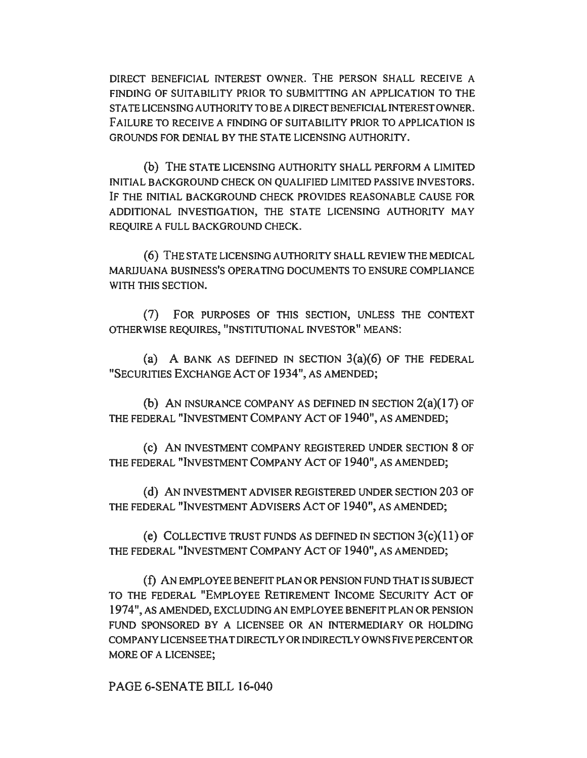DIRECT BENEFICIAL INTEREST OWNER. THE PERSON SHALL RECEIVE A FINDING OF SUITABILITY PRIOR TO SUBMITTING AN APPLICATION TO THE STATE LICENSING AUTHORITY TO BE A DIRECT BENEFICIAL INTEREST OWNER. FAILURE TO RECEIVE A FINDING OF SUITABILITY PRIOR TO APPLICATION IS GROUNDS FOR DENIAL BY THE STATE LICENSING AUTHORITY.

(b) THE STATE LICENSING AUTHORITY SHALL PERFORM A LIMITED INITIAL BACKGROUND CHECK ON QUALIFIED LIMITED PASSIVE INVESTORS. IF THE INITIAL BACKGROUND CHECK PROVIDES REASONABLE CAUSE FOR ADDITIONAL INVESTIGATION, THE STATE LICENSING AUTHORITY MAY REQUIRE A FULL BACKGROUND CHECK.

(6) THE STA TE LICENSING AUTHORITY SHALL REVIEW THE MEDICAL MARIJUANA BUSINESS'S OPERA TING DOCUMENTS TO ENSURE COMPLIANCE WITH THIS SECTION.

(7) FOR PURPOSES OF THIS SECTION, UNLESS THE CONTEXT OTHERWISE REQUIRES, "INSTITUTIONAL INVESTOR" MEANS:

(a) A BANK AS DEFINED IN SECTION  $3(a)(6)$  OF THE FEDERAL "SECURITIES EXCHANGE ACT OF 1934", AS AMENDED;

(b) AN INSURANCE COMPANY AS DEFINED IN SECTION  $2(a)(17)$  OF THE FEDERAL "INVESTMENT COMPANY ACT OF 1940", AS AMENDED;

(c) AN INVESTMENT COMPANY REGISTERED UNDER SECTION 8 OF THE FEDERAL "INVESTMENT COMPANY ACT OF 1940", AS AMENDED;

(d) AN INVESTMENT ADVISER REGISTERED UNDER SECTION 203 OF THE FEDERAL "INVESTMENT ADVISERS ACT OF 1940", AS AMENDED;

(e) COLLECTIVE TRUST FUNDS AS DEFINED IN SECTION  $3(c)(11)$  OF THE FEDERAL "INVESTMENT COMPANY ACT OF 1940", AS AMENDED;

( f) AN EMPLOYEE BENEFIT PLAN OR PENSION FUND THAT IS SUBJECT TO THE FEDERAL "EMPLOYEE RETIREMENT INCOME SECURITY ACT OF 1974", AS AMENDED, EXCLUDING AN EMPLOYEE BENEFIT PLAN OR PENSION FUND SPONSORED BY A LICENSEE OR AN INTERMEDIARY OR HOLDING COMPANY LICENSEE THAT DIRECTLY OR INDIRECTLY OWNS FIVE PERCENT OR MORE OF A LICENSEE;

PAGE 6-SENATE BILL 16-040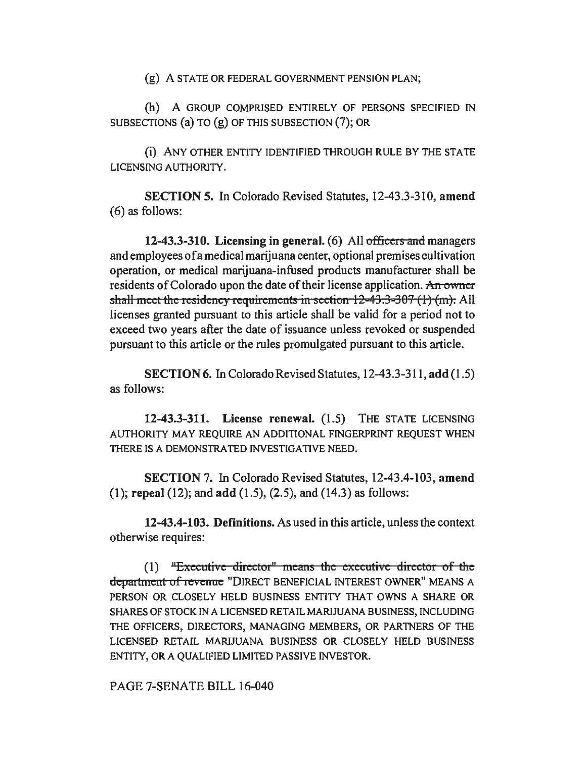(g) A STATE OR FEDERAL GOVERNMENT PENSION PLAN;

(h) A GROUP COMPRISED ENTIRELY OF PERSONS SPECIFIED IN SUBSECTIONS (a) TO (g) OF THIS SUBSECTION (7); OR

(i) ANY OTHER ENTITY IDENTIFIED THROUGH RULE BY THE STATE LICENSING AUTHORITY.

SECTION 5. In Colorado Revised Statutes, 12-43.3-310, amend (6) as follows:

12-43.3-310. Licensing in general. (6) All officers and managers and employees of a medical marijuana center, optional premises cultivation operation, or medical marijuana-infused products manufacturer shall be residents of Colorado upon the date of their license application. An owner shall meet the residency requirements in section  $12-43.3-307$  (1) (m). All licenses granted pursuant to this article shall be valid for a period not to exceed two years after the date of issuance unless revoked or suspended pursuant to this article or the rules promulgated pursuant to this article.

SECTION 6. In Colorado Revised Statutes, 12-43.3-311, add (1.5) as follows:

12-43.3-311. License renewal. (1.5) THE STATE LICENSING AUTHORITY MAY REQUIRE AN ADDITIONAL FINGERPRINT REQUEST WHEN THERE IS A DEMONSTRATED INVESTIGATIVE NEED.

SECTION 7. In Colorado Revised Statutes, 12-43.4-103, amend (I); repeal (12); and add (1.5), (2.5), and (14.3) as follows:

12-43.4-103. Definitions. As used in this article, unless the context otherwise requires:

 $(1)$  "Executive director" means the executive director of the department of revenue "DIRECT BENEFICIAL INTEREST OWNER" MEANS A PERSON OR CLOSELY HELD BUSINESS ENTITY THAT OWNS A SHARE OR SHARES OF STOCK IN A LICENSED RETAIL MARIJUANA BUSINESS, INCLUDING THE OFFICERS, DIRECTORS, MANAGING MEMBERS, OR PARTNERS OF THE LICENSED RETAIL MARIJUANA BUSINESS OR CLOSELY HELD BUSINESS ENTITY, OR A QUALIFIED LIMITED PASSIVE INVESTOR.

PAGE 7-SENATE BILL 16-040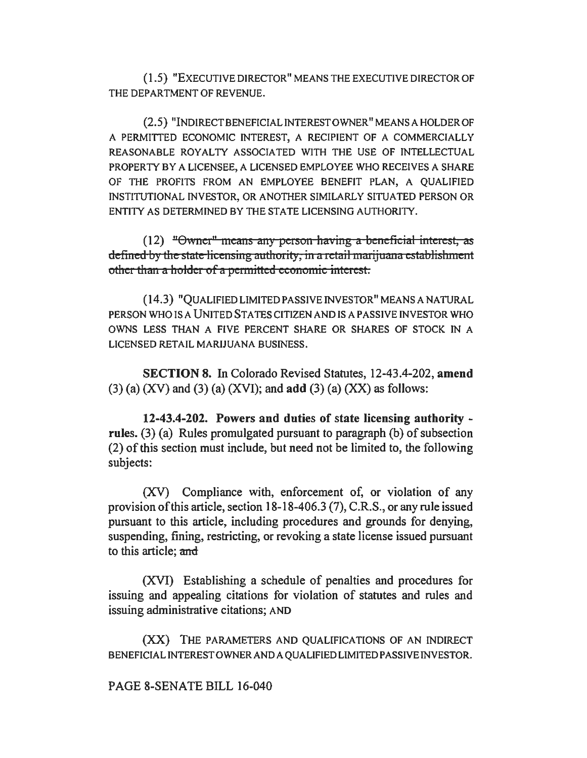( 1.5) "EXECUTIVE DIRECTOR" MEANS THE EXECUTIVE DIRECTOR OF THE DEPARTMENT OF REVENUE.

(2.5) "INDIRECT BENEFICIAL INTEREST OWNER" MEANS A HOLDER OF A PERMITTED ECONOMIC INTEREST, A RECIPIENT OF A COMMERCIALLY REASONABLE ROYALTY ASSOCIATED WITH THE USE OF INTELLECTUAL PROPERTY BY A LICENSEE, A LICENSED EMPLOYEE WHO RECEIVES A SHARE OF THE PROFITS FROM AN EMPLOYEE BENEFIT PLAN, A QUALIFIED INSTITUTIONAL INVESTOR, OR ANOTHER SIMILARLY SITUATED PERSON OR ENTITY AS DETERMINED BY THE STATE LICENSING AUTHORITY.

(12) "Owner" means any person having a beneficial interest, as defined by the state licensing authority, in a retail marijuana establishment other than a holder of a permitted economic interest.

(14.3) "QUALIFIED LIMITED PASSIVE INVESTOR" MEANS A NATURAL PERSON WHO IS A UNITED STATES CITIZEN AND IS A PASSIVE INVESTOR WHO OWNS LESS THAN A FIVE PERCENT SHARE OR SHARES OF STOCK IN A LICENSED RETAIL MARIJUANA BUSINESS.

SECTION 8. In Colorado Revised Statutes, 12-43.4-202, amend  $(3)$  (a)  $(XV)$  and  $(3)$  (a)  $(XVI)$ ; and add  $(3)$  (a)  $(XX)$  as follows:

12-43.4-202. Powers and duties of state licensing authority rules. (3) (a) Rules promulgated pursuant to paragraph (b) of subsection (2) of this section must include, but need not be limited to, the following subjects:

(XV) Compliance with, enforcement of, or violation of any provision of this article, section 18-18-406.3 (7), C.R.S., or any rule issued pursuant to this article, including procedures and grounds for denying, suspending, fining, restricting, or revoking a state license issued pursuant to this article; and

(XVI) Establishing a schedule of penalties and procedures for issuing and appealing citations for violation of statutes and rules and issuing administrative citations; AND

(XX) THE PARAMETERS AND QUALIFICATIONS OF AN INDIRECT BENEFICIAL INTEREST OWNER AND A QUALIFIED LIMITED PASSIVE INVESTOR.

## PAGE 8-SENATE BILL 16-040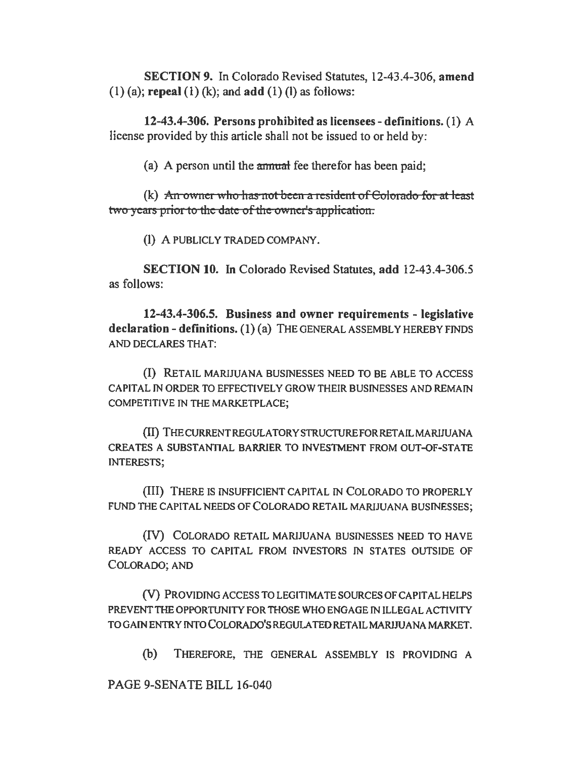SECTION 9. In Colorado Revised Statutes, 12-43.4-306, amend  $(1)$  (a); repeal  $(1)$  (k); and add  $(1)$  (l) as follows:

12-43.4-306. Persons prohibited as licensees-definitions. (1) A license provided by this article shall not be issued to or held by:

(a) A person until the annual fee therefor has been paid:

(k) An owner who has not been a resident of Colorado for at least two years prior to the date of the owner's application.

(I) A PUBLICLY TRADED COMPANY.

SECTION 10. In Colorado Revised Statutes, add 12-43.4-306.5 as follows:

12-43.4-306.5. Business and owner requirements - legislative declaration - definitions. (1) (a) THE GENERAL ASSEMBLY HEREBY FINDS AND DECLARES THAT:

(I) RETAIL MARIJUANA BUSINESSES NEED TO BE ABLE TO ACCESS CAPITAL IN ORDER TO EFFECTIVELY GROW THEIR BUSINESSES AND REMAIN COMPETITIVE IN THE MARKETPLACE;

(II) THE CURRENT REGULATORY STRUCTURE FOR RETAIL MARIJUANA CREATES A SUBSTANTIAL BARRIER TO INVESTMENT FROM OUT-OF-STATE INTERESTS;

(III) THERE JS INSUFFICIENT CAPITAL IN COLORADO TO PROPERLY FUND THE CAPITAL NEEDS OF COLORADO RETAIL MARIJUANA BUSINESSES;

(IV) COLORADO RETAIL MARIJUANA BUSINESSES NEED TO HAVE READY ACCESS TO CAPITAL FROM INVESTORS IN STATES OUTSIDE OF COLORADO; AND

(V) PROVIDING ACCESS TO LEGITIMATE SOURCES OF CAPITAL HELPS PREVENT THE OPPORTUNITY FOR THOSE WHO ENGAGE IN ILLEGAL ACTIVITY TO GAlN ENTRY INTO COLORADO'S REGULA TED RETAIL MARIJUANA MARKET.

(b) THEREFORE, THE GENERAL ASSEMBLY IS PROVIDING A

PAGE 9-SENATE BILL 16-040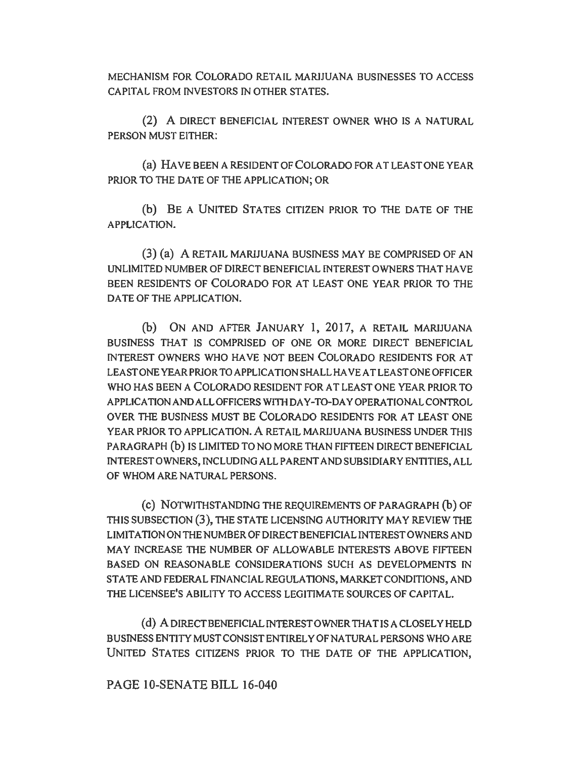MECHANISM FOR COLORADO RETAIL MARIJUANA BUSINESSES TO ACCESS CAPITAL FROM INVESTORS IN OTHER STATES.

(2) A DIRECT BENEFICIAL INTEREST OWNER WHO IS A NATURAL PERSON MUST EITHER:

(a) HA VE BEEN A RESIDENT OF COLORADO FOR AT LEAST ONE YEAR PRIOR TO THE DATE OF THE APPLICATION; OR

(b) BE A UNITED STATES CITIZEN PRIOR TO THE DATE OF THE APPLICATION.

(3) (a) A RETAIL MARIJUANA BUSINESS MAY BE COMPRISED OF AN UNLIMITED NUMBER OF DIRECT BENEFICIAL INTEREST OWNERS THAT HA VE BEEN RESIDENTS OF COLORADO FOR AT LEAST ONE YEAR PRIOR TO THE DATE OF THE APPLICATION.

(b) ON AND AFTER JANUARY 1, 2017, A RETAIL MARIJUANA BUSINESS THAT IS COMPRISED OF ONE OR MORE DIRECT BENEFICIAL INTEREST OWNERS WHO HA VE NOT BEEN COLORADO RESIDENTS FOR AT LEAST ONE YEAR PRIOR TO APPLICATION SHALL HA VE AT LEAST ONE OFFICER WHO HAS BEEN A COLORADO RESIDENT FOR AT LEAST ONE YEAR PRIOR TO APPLICATION AND ALL OFFICERS WITH DAY-TO-DAY OPERATIONAL CONTROL OVER THE BUSINESS MUST BE COLORADO RESIDENTS FOR AT LEAST ONE YEAR PRIOR TO APPLICATION. A RETAIL MARIJUANA BUSINESS UNDER THIS PARAGRAPH (b) IS LIMITED TO NO MORE THAN FIFTEEN DIRECT BENEFICIAL INTEREST OWNERS, INCLUDING ALL PARENT AND SUBSIDIARY ENTITIES, ALL OF WHOM ARE NATURAL PERSONS.

(c) NOTWITHSTANDING THE REQUIREMENTS OF PARAGRAPH (b) OF THIS SUBSECTION (3), THE STATE LICENSING AUTHORITY MAY REVIEW THE LIMITATION ON THE NUMBER OF DIRECT BENEFICIAL INTEREST OWNERS AND MAY INCREASE THE NUMBER OF ALLOWABLE INTERESTS ABOVE FIFTEEN BASED ON REASONABLE CONSIDERATIONS SUCH AS DEVELOPMENTS IN STA TE AND FEDERAL FINANCIAL REGULATIONS, MARKET CONDITIONS, AND THE LICENSEE'S ABILITY TO ACCESS LEGITIMATE SOURCES OF CAPITAL.

( d) A DIRECT BENEFICIAL INTEREST OWNER THAT IS A CLOSELY HELD BUSINESS ENTITY MUST CONSIST ENTIRELY OF NATURAL PERSONS WHO ARE UNITED STATES CITIZENS PRIOR TO THE DATE OF THE APPLICATION,

PAGE IO-SENATE BILL 16-040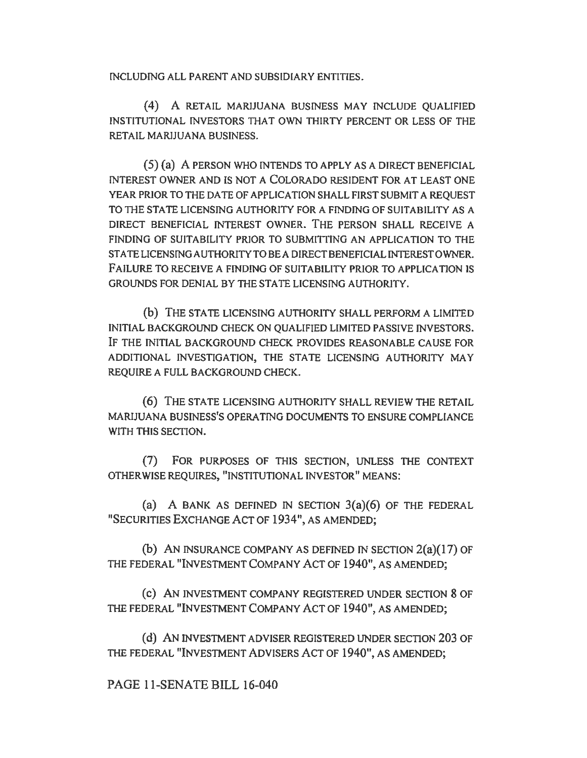INCLUDING ALL PARENT AND SUBSIDIARY ENTITIES.

(4) A RETAIL MARIJUANA BUSINESS MAY INCLUDE QUALIFIED INSTITUTIONAL INVESTORS THAT OWN THIRTY PERCENT OR LESS OF THE RETAIL MARIJUANA BUSINESS.

(5) (a) A PERSON WHO INTENDS TO APPLY AS A DIRECT BENEFICIAL INTEREST OWNER AND IS NOT A COLORADO RESIDENT FOR AT LEAST ONE YEAR PRIOR TO THE DATE OF APPLICATION SHALL FIRST SUBMIT A REQUEST TO THE STATE LICENSING AUTHORITY FOR A FINDING OF SUITABILITY AS A DIRECT BENEFICIAL INTEREST OWNER. THE PERSON SHALL RECEIVE A FINDING OF SUITABILITY PRIOR TO SUBMITIING AN APPLICATION TO THE STA TE LICENSING AUTHORITY TO BE A DIRECT BENEFICIAL INTEREST OWNER. FAILURE TO RECEIVE A FINDING OF SUITABILITY PRIOR TO APPLICATION JS GROUNDS FOR DENIAL BY THE STA TE LICENSING AUTHORITY.

(b) THE STATE LICENSING AUTHORITY SHALL PERFORM A LIMITED INITIAL BACKGROUND CHECK ON QUALIFIED LIMITED PASSIVE INVESTORS. IF THE INITIAL BACKGROUND CHECK PROVIDES REASONABLE CAUSE FOR ADDITIONAL INVESTIGATION, THE STATE LICENSING AUTHORITY MAY REQUIRE A FULL BACKGROUND CHECK.

(6) THE STATE LICENSING AUTHORITY SHALL REVIEW THE RETAIL MARIJUANA BUSINESS'S OPERA TING DOCUMENTS TO ENSURE COMPLIANCE WITH THIS SECTION.

(7) FOR PURPOSES OF THIS SECTION, UNLESS THE CONTEXT OTHERWISE REQUIRES, "INSTITUTIONAL INVESTOR" MEANS:

(a) A BANK AS DEFINED IN SECTION  $3(a)(6)$  OF THE FEDERAL "SECURITIES EXCHANGE ACT OF I 934", AS AMENDED;

(b) AN INSURANCE COMPANY AS DEFINED IN SECTION  $2(a)(17)$  OF THE FEDERAL "INVESTMENT COMPANY ACT OF 1940", AS AMENDED;

(c) AN INVESTMENT COMPANY REGISTERED UNDER SECTION 8 OF THE FEDERAL "INVESTMENT COMPANY ACT OF I940", AS AMENDED;

(d) AN INVESTMENT ADVISER REGISTERED UNDER SECTION 203 OF THE FEDERAL "INVESTMENT ADVISERS ACT OF 1940", AS AMENDED;

PAGE 11-SENATE BILL 16-040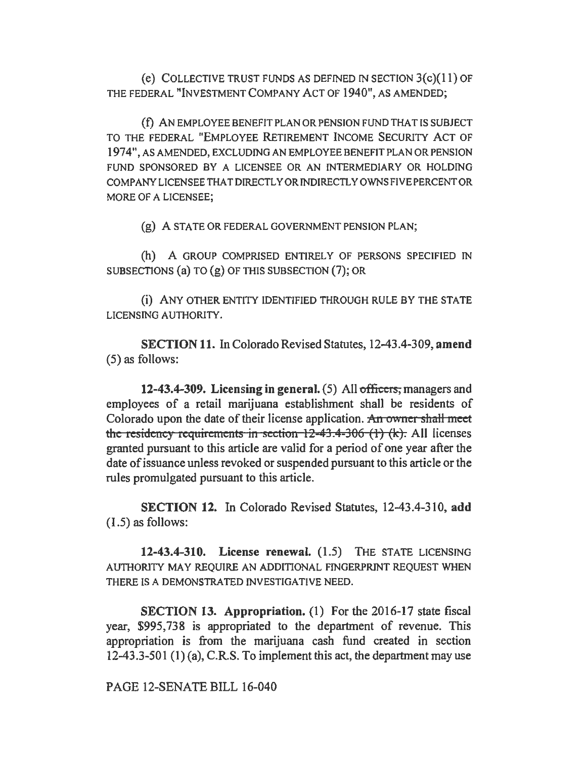(e) COLLECTIVE TRUST FUNDS AS DEFINED IN SECTION  $3(c)(11)$  OF THE FEDERAL "INVESTMENT COMPANY ACT OF 1940", AS AMENDED;

( f) AN EMPLOYEE BENEFIT PLAN OR PENSION FUND THAT IS SUBJECT TO THE FEDERAL "EMPLOYEE RETIREMENT INCOME SECURITY ACT OF 1974", AS AMENDED, EXCLUDING AN EMPLOYEE BENEFIT PLAN OR PENSION FUND SPONSORED BY A LICENSEE OR AN INTERMEDIARY OR HOLDING COMPANY LICENSEE THAT DIRECTLY OR INDIRECTLY OWNS FIVE PERCENT OR MORE OF A LICENSEE;

(g) A STATE OR FEDERAL GOVERNMENT PENSION PLAN;

(h) A GROUP COMPRISED ENTIRELY OF PERSONS SPECIFIED IN SUBSECTIONS (a) TO (g) OF THIS SUBSECTION (7); OR

(i) ANY OTHER ENTITY IDENTIFIED THROUGH RULE BY THE STATE LICENSING AUTHORITY.

SECTION 11. In Colorado Revised Statutes, 12-43.4-309, amend (5) as follows:

12-43.4-309. Licensing in general.  $(5)$  All officers, managers and employees of a retail marijuana establishment shall be residents of Colorado upon the date of their license application. An owner shall meet the residency requirements in section  $12-43.4-306$  (1) (k). All licenses granted pursuant to this article are valid for a period of one year after the date of issuance unless revoked or suspended pursuant to this article or the rules promulgated pursuant to this article.

SECTION 12. In Colorado Revised Statutes, 12-43.4-310, add (1.5) as follows:

12-43.4-310. License renewal. (1.5) THE STATE LICENSING AUTHORITY MAY REQUIRE AN ADDITIONAL FINGERPRINT REQUEST WHEN THERE IS A DEMONSTRATED INVESTIGATIVE NEED.

SECTION 13. Appropriation. (1) For the 2016-17 state fiscal year, \$995, 738 is appropriated to the department of revenue. This appropriation is from the marijuana cash fund created in section 12-43.3-501 (1) (a), C.R.S. To implement this act, the department may use

PAGE 12-SENATE BILL 16-040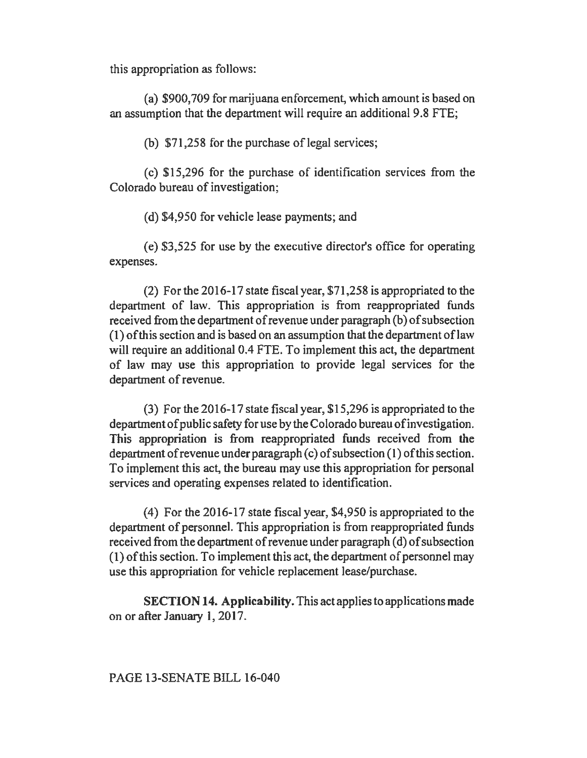this appropriation as follows:

(a) \$900, 709 for marijuana enforcement, which amount is based on an assumption that the department will require an additional 9.8 FTE;

(b)  $$71,258$  for the purchase of legal services;

(c) \$15,296 for the purchase of identification services from the Colorado bureau of investigation;

(d) \$4,950 for vehicle lease payments; and

(e) \$3,525 for use by the executive director's office for operating expenses.

(2) For the 2016-17 state fiscal year, \$71,258 is appropriated to the department of law. This appropriation is from reappropriated funds received from the department of revenue under paragraph (b) of subsection  $(1)$  of this section and is based on an assumption that the department of law will require an additional 0.4 FTE. To implement this act, the department of law may use this appropriation to provide legal services for the department of revenue.

(3) For the 2016-17 state fiscal year, \$15,296 is appropriated to the department of public safety for use by the Colorado bureau of investigation. This appropriation is from reappropriated funds received from the department of revenue under paragraph  $(c)$  of subsection  $(1)$  of this section. To implement this act, the bureau may use this appropriation for personal services and operating expenses related to identification.

(4) For the 2016-17 state fiscal year, \$4,950 is appropriated to the department of personnel. This appropriation is from reappropriated funds received from the department of revenue under paragraph (d) of subsection (1) of this section. To implement this act, the department of personnel may use this appropriation for vehicle replacement lease/purchase.

SECTION 14. Applicability. This act applies to applications made on or after January 1, 2017.

PAGE 13-SENATE BILL 16-040